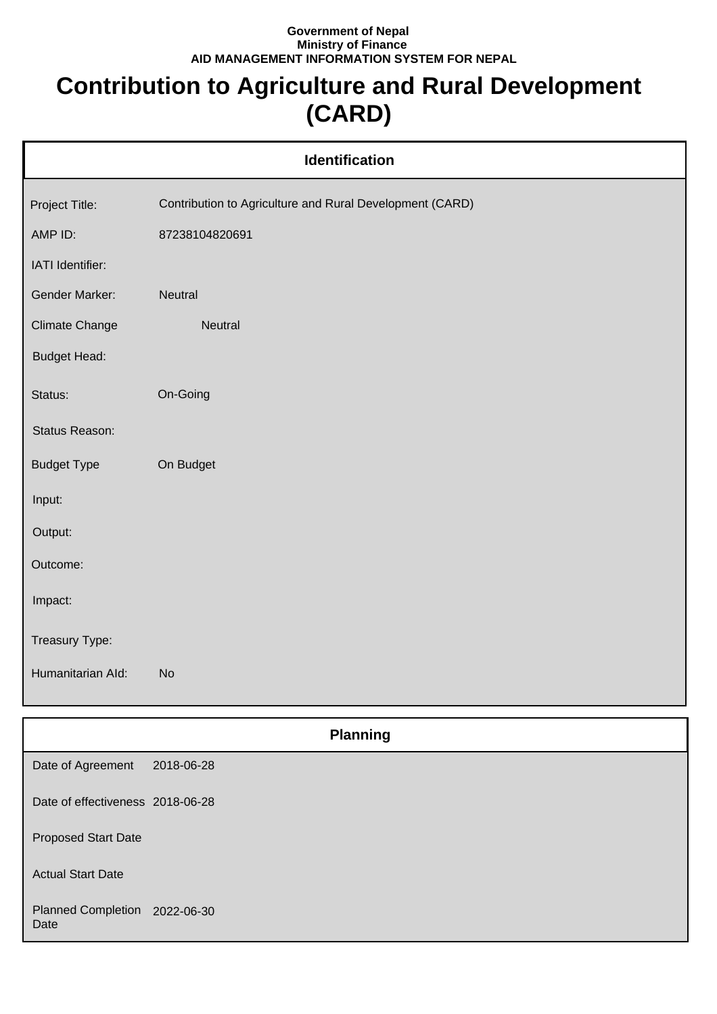## **Government of Nepal Ministry of Finance AID MANAGEMENT INFORMATION SYSTEM FOR NEPAL**

## **Contribution to Agriculture and Rural Development (CARD)**

| Identification        |                                                          |  |
|-----------------------|----------------------------------------------------------|--|
| Project Title:        | Contribution to Agriculture and Rural Development (CARD) |  |
| AMP ID:               | 87238104820691                                           |  |
| IATI Identifier:      |                                                          |  |
| Gender Marker:        | Neutral                                                  |  |
| <b>Climate Change</b> | Neutral                                                  |  |
| <b>Budget Head:</b>   |                                                          |  |
| Status:               | On-Going                                                 |  |
| Status Reason:        |                                                          |  |
| <b>Budget Type</b>    | On Budget                                                |  |
| Input:                |                                                          |  |
| Output:               |                                                          |  |
| Outcome:              |                                                          |  |
| Impact:               |                                                          |  |
| Treasury Type:        |                                                          |  |
| Humanitarian Ald:     | <b>No</b>                                                |  |
|                       |                                                          |  |
|                       | <b>Planning</b>                                          |  |
| Date of Agreement     | 2018-06-28                                               |  |

Date of effectiveness 2018-06-28

Proposed Start Date

Actual Start Date

Planned Completion 2022-06-30 Date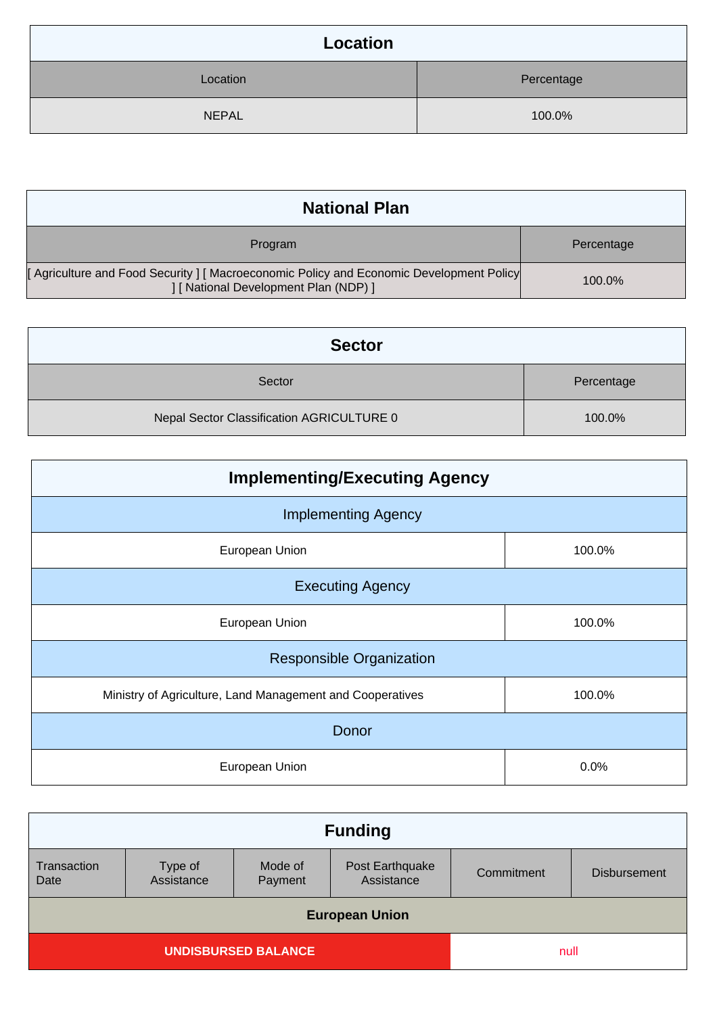| <b>Location</b> |            |  |
|-----------------|------------|--|
| Location        | Percentage |  |
| <b>NEPAL</b>    | 100.0%     |  |

| <b>National Plan</b>                                                                                                         |            |
|------------------------------------------------------------------------------------------------------------------------------|------------|
| Program                                                                                                                      | Percentage |
| [Agriculture and Food Security] [Macroeconomic Policy and Economic Development Policy<br>[ National Development Plan (NDP) ] | 100.0%     |

| <b>Sector</b>                             |            |
|-------------------------------------------|------------|
| Sector                                    | Percentage |
| Nepal Sector Classification AGRICULTURE 0 | 100.0%     |

| <b>Implementing/Executing Agency</b>                      |        |  |
|-----------------------------------------------------------|--------|--|
| <b>Implementing Agency</b>                                |        |  |
| European Union                                            | 100.0% |  |
| <b>Executing Agency</b>                                   |        |  |
| European Union                                            | 100.0% |  |
| <b>Responsible Organization</b>                           |        |  |
| Ministry of Agriculture, Land Management and Cooperatives | 100.0% |  |
| Donor                                                     |        |  |
| European Union                                            | 0.0%   |  |

| <b>Funding</b>             |                       |                    |                               |            |                     |
|----------------------------|-----------------------|--------------------|-------------------------------|------------|---------------------|
| Transaction<br>Date        | Type of<br>Assistance | Mode of<br>Payment | Post Earthquake<br>Assistance | Commitment | <b>Disbursement</b> |
| <b>European Union</b>      |                       |                    |                               |            |                     |
| <b>UNDISBURSED BALANCE</b> |                       | null               |                               |            |                     |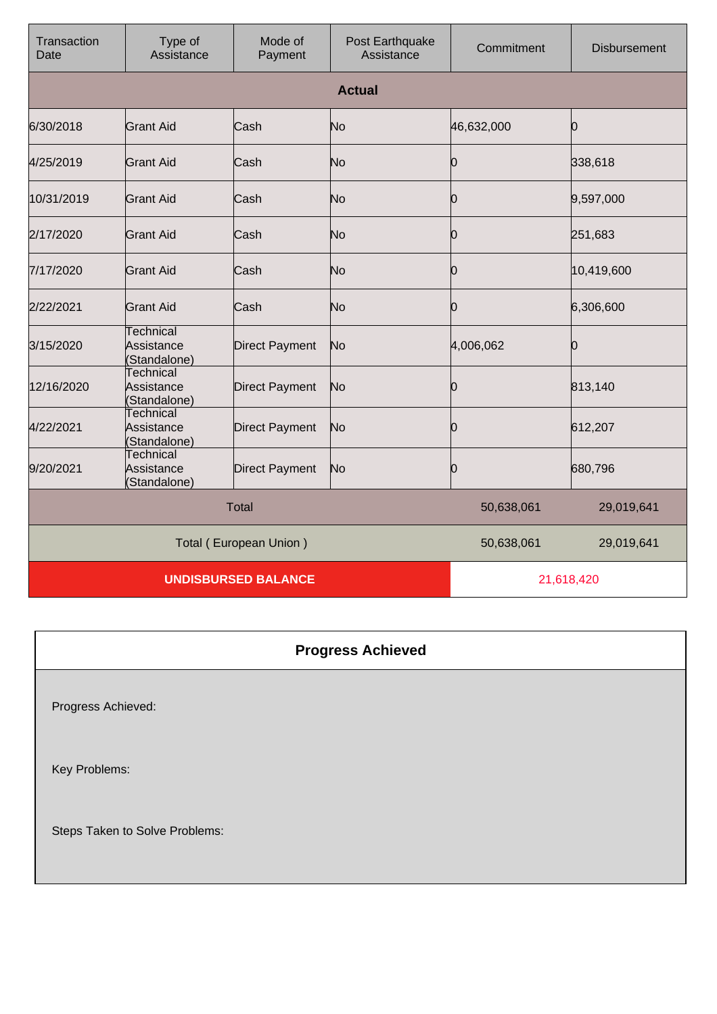| Transaction<br>Date | Type of<br>Assistance                          | Mode of<br>Payment     | Post Earthquake<br>Assistance | Commitment | <b>Disbursement</b> |
|---------------------|------------------------------------------------|------------------------|-------------------------------|------------|---------------------|
|                     |                                                |                        | <b>Actual</b>                 |            |                     |
| 6/30/2018           | <b>Grant Aid</b>                               | Cash                   | No                            | 46,632,000 | Ю                   |
| 4/25/2019           | <b>Grant Aid</b>                               | Cash                   | No                            | 10         | 338,618             |
| 10/31/2019          | Grant Aid                                      | Cash                   | No                            | 10         | 9,597,000           |
| 2/17/2020           | <b>Grant Aid</b>                               | Cash                   | No                            | 0          | 251,683             |
| 7/17/2020           | <b>Grant Aid</b>                               | Cash                   | No                            | 0          | 10,419,600          |
| 2/22/2021           | <b>Grant Aid</b>                               | Cash                   | No                            | 0          | 6,306,600           |
| 3/15/2020           | Technical<br>Assistance<br>(Standalone)        | <b>Direct Payment</b>  | No                            | 4,006,062  | Ю                   |
| 12/16/2020          | Technical<br>Assistance<br>(Standalone)        | <b>Direct Payment</b>  | No                            | 0          | 813,140             |
| 4/22/2021           | <b>Technical</b><br>Assistance<br>(Standalone) | <b>Direct Payment</b>  | No                            | 0          | 612,207             |
| 9/20/2021           | <b>Technical</b><br>Assistance<br>(Standalone) | <b>Direct Payment</b>  | No                            | 0          | 680,796             |
|                     |                                                | <b>Total</b>           |                               | 50,638,061 | 29,019,641          |
|                     |                                                | Total (European Union) |                               | 50,638,061 | 29,019,641          |
|                     | <b>UNDISBURSED BALANCE</b>                     |                        |                               | 21,618,420 |                     |

| <b>Progress Achieved</b> |  |
|--------------------------|--|
|                          |  |

Progress Achieved:

Key Problems:

Steps Taken to Solve Problems: